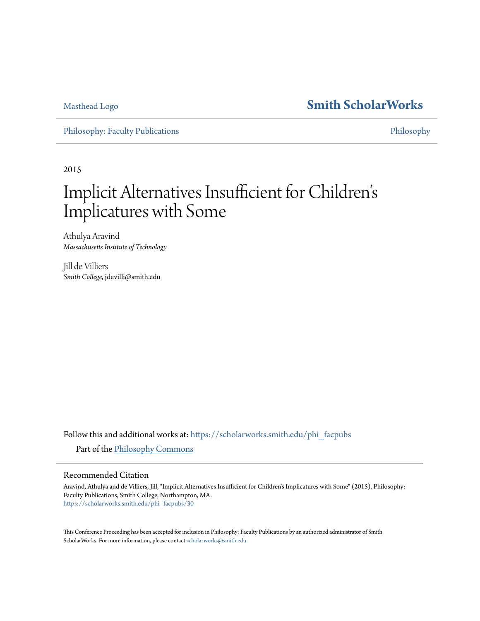[Masthead Logo](http://www.smith.edu/?utm_source=scholarworks.smith.edu%2Fphi_facpubs%2F30&utm_medium=PDF&utm_campaign=PDFCoverPages) **[Smith ScholarWorks](https://scholarworks.smith.edu?utm_source=scholarworks.smith.edu%2Fphi_facpubs%2F30&utm_medium=PDF&utm_campaign=PDFCoverPages)**

[Philosophy: Faculty Publications](https://scholarworks.smith.edu/phi_facpubs?utm_source=scholarworks.smith.edu%2Fphi_facpubs%2F30&utm_medium=PDF&utm_campaign=PDFCoverPages) **[Philosophy](https://scholarworks.smith.edu/phi?utm_source=scholarworks.smith.edu%2Fphi_facpubs%2F30&utm_medium=PDF&utm_campaign=PDFCoverPages)** 

2015

# Implicit Alternatives Insufficient for Children s י<br>'. Implicatures with Some

Athulya Aravind *Massachusetts Institute of Technology*

Jill de Villiers *Smith College*, jdevilli@smith.edu

Follow this and additional works at: [https://scholarworks.smith.edu/phi\\_facpubs](https://scholarworks.smith.edu/phi_facpubs?utm_source=scholarworks.smith.edu%2Fphi_facpubs%2F30&utm_medium=PDF&utm_campaign=PDFCoverPages) Part of the [Philosophy Commons](http://network.bepress.com/hgg/discipline/525?utm_source=scholarworks.smith.edu%2Fphi_facpubs%2F30&utm_medium=PDF&utm_campaign=PDFCoverPages)

#### Recommended Citation

Aravind, Athulya and de Villiers, Jill, "Implicit Alternatives Insufficient for Children's Implicatures with Some" (2015). Philosophy: Faculty Publications, Smith College, Northampton, MA. [https://scholarworks.smith.edu/phi\\_facpubs/30](https://scholarworks.smith.edu/phi_facpubs/30?utm_source=scholarworks.smith.edu%2Fphi_facpubs%2F30&utm_medium=PDF&utm_campaign=PDFCoverPages)

This Conference Proceeding has been accepted for inclusion in Philosophy: Faculty Publications by an authorized administrator of Smith ScholarWorks. For more information, please contact [scholarworks@smith.edu](mailto:scholarworks@smith.edu)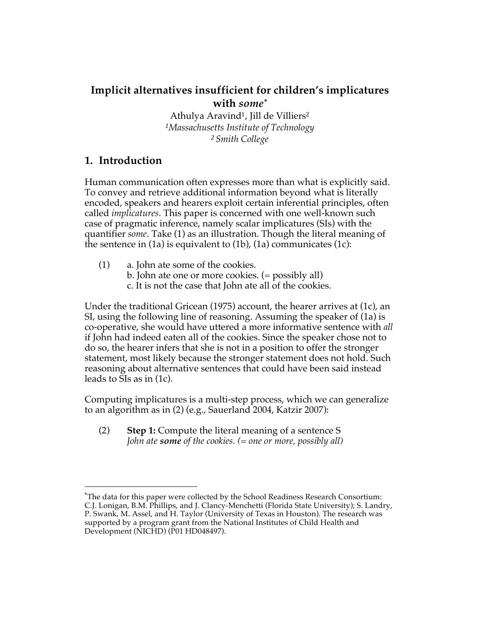# **Implicit alternatives insufficient for children's implicatures with** *some\**

Athulya Aravind<sup>1</sup>, Jill de Villiers<sup>2</sup> *<sup>1</sup>Massachusetts Institute of Technology <sup>2</sup>Smith College*

## **1. Introduction**

 

Human communication often expresses more than what is explicitly said. To convey and retrieve additional information beyond what is literally encoded, speakers and hearers exploit certain inferential principles, often called *implicatures*. This paper is concerned with one well-known such case of pragmatic inference, namely scalar implicatures (SIs) with the quantifier *some*. Take (1) as an illustration. Though the literal meaning of the sentence in (1a) is equivalent to (1b), (1a) communicates (1c):

- (1) a. John ate some of the cookies.
	- b. John ate one or more cookies. (= possibly all)
	- c. It is not the case that John ate all of the cookies.

Under the traditional Gricean (1975) account, the hearer arrives at (1c), an SI, using the following line of reasoning. Assuming the speaker of (1a) is co-operative, she would have uttered a more informative sentence with *all* if John had indeed eaten all of the cookies. Since the speaker chose not to do so, the hearer infers that she is not in a position to offer the stronger statement, most likely because the stronger statement does not hold. Such reasoning about alternative sentences that could have been said instead leads to SIs as in (1c).

Computing implicatures is a multi-step process, which we can generalize to an algorithm as in (2) (e.g., Sauerland 2004, Katzir 2007):

(2) **Step 1:** Compute the literal meaning of a sentence S *John ate some of the cookies. (= one or more, possibly all)*

<sup>\*</sup>The data for this paper were collected by the School Readiness Research Consortium: C.J. Lonigan, B.M. Phillips, and J. Clancy-Menchetti (Florida State University); S. Landry, P. Swank, M. Assel, and H. Taylor (University of Texas in Houston). The research was supported by a program grant from the National Institutes of Child Health and Development (NICHD) (P01 HD048497).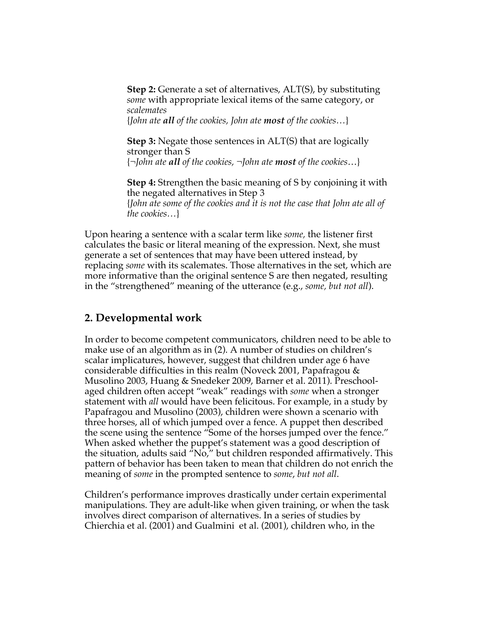**Step 2:** Generate a set of alternatives, ALT(S), by substituting *some* with appropriate lexical items of the same category, or *scalemates* {*John ate all of the cookies, John ate most of the cookies…*}

**Step 3:** Negate those sentences in ALT(S) that are logically stronger than S {*¬John ate all of the cookies, ¬John ate most of the cookies*…}

**Step 4:** Strengthen the basic meaning of S by conjoining it with the negated alternatives in Step 3 {*John ate some of the cookies and it is not the case that John ate all of the cookies…*}

Upon hearing a sentence with a scalar term like *some,* the listener first calculates the basic or literal meaning of the expression. Next, she must generate a set of sentences that may have been uttered instead, by replacing *some* with its scalemates. Those alternatives in the set, which are more informative than the original sentence S are then negated, resulting in the "strengthened" meaning of the utterance (e.g., *some, but not all*).

## **2. Developmental work**

In order to become competent communicators, children need to be able to make use of an algorithm as in (2). A number of studies on children's scalar implicatures, however, suggest that children under age 6 have considerable difficulties in this realm (Noveck 2001, Papafragou & Musolino 2003, Huang & Snedeker 2009, Barner et al. 2011). Preschoolaged children often accept "weak" readings with *some* when a stronger statement with *all* would have been felicitous. For example, in a study by Papafragou and Musolino (2003), children were shown a scenario with three horses, all of which jumped over a fence. A puppet then described the scene using the sentence "Some of the horses jumped over the fence." When asked whether the puppet's statement was a good description of the situation, adults said  $\sqrt[n]{\overline{N}_0}$ ," but children responded affirmatively. This pattern of behavior has been taken to mean that children do not enrich the meaning of *some* in the prompted sentence to *some*, *but not all*.

Children's performance improves drastically under certain experimental manipulations. They are adult-like when given training, or when the task involves direct comparison of alternatives. In a series of studies by Chierchia et al. (2001) and Gualmini et al. (2001), children who, in the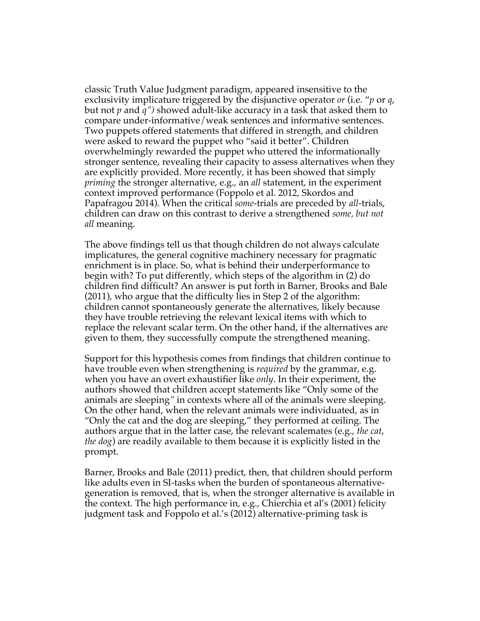classic Truth Value Judgment paradigm, appeared insensitive to the exclusivity implicature triggered by the disjunctive operator *or* (i.e. "*p* or *q*, but not *p* and *q")* showed adult-like accuracy in a task that asked them to compare under-informative/weak sentences and informative sentences. Two puppets offered statements that differed in strength, and children were asked to reward the puppet who "said it better". Children overwhelmingly rewarded the puppet who uttered the informationally stronger sentence, revealing their capacity to assess alternatives when they are explicitly provided. More recently, it has been showed that simply *priming* the stronger alternative, e.g., an *all* statement, in the experiment context improved performance (Foppolo et al. 2012, Skordos and Papafragou 2014). When the critical *some*-trials are preceded by *all*-trials, children can draw on this contrast to derive a strengthened *some, but not all* meaning.

The above findings tell us that though children do not always calculate implicatures, the general cognitive machinery necessary for pragmatic enrichment is in place. So, what is behind their underperformance to begin with? To put differently, which steps of the algorithm in (2) do children find difficult? An answer is put forth in Barner, Brooks and Bale (2011), who argue that the difficulty lies in Step 2 of the algorithm: children cannot spontaneously generate the alternatives, likely because they have trouble retrieving the relevant lexical items with which to replace the relevant scalar term. On the other hand, if the alternatives are given to them, they successfully compute the strengthened meaning.

Support for this hypothesis comes from findings that children continue to have trouble even when strengthening is *required* by the grammar, e.g. when you have an overt exhaustifier like *only*. In their experiment, the authors showed that children accept statements like "Only some of the animals are sleeping*"* in contexts where all of the animals were sleeping. On the other hand, when the relevant animals were individuated, as in "Only the cat and the dog are sleeping," they performed at ceiling. The authors argue that in the latter case, the relevant scalemates (e.g., *the cat*, *the dog*) are readily available to them because it is explicitly listed in the prompt.

Barner, Brooks and Bale (2011) predict, then, that children should perform like adults even in SI-tasks when the burden of spontaneous alternativegeneration is removed, that is, when the stronger alternative is available in the context. The high performance in, e.g., Chierchia et al's (2001) felicity judgment task and Foppolo et al.'s (2012) alternative-priming task is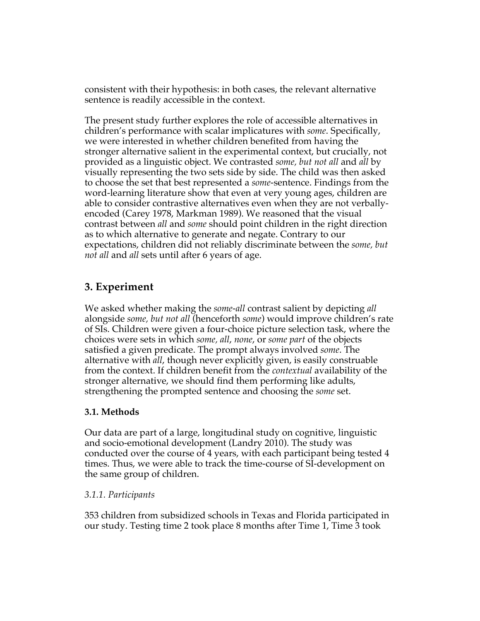consistent with their hypothesis: in both cases, the relevant alternative sentence is readily accessible in the context.

The present study further explores the role of accessible alternatives in children's performance with scalar implicatures with *some*. Specifically, we were interested in whether children benefited from having the stronger alternative salient in the experimental context, but crucially, not provided as a linguistic object. We contrasted *some, but not all* and *all* by visually representing the two sets side by side. The child was then asked to choose the set that best represented a *some*-sentence. Findings from the word-learning literature show that even at very young ages, children are able to consider contrastive alternatives even when they are not verballyencoded (Carey 1978, Markman 1989). We reasoned that the visual contrast between *all* and *some* should point children in the right direction as to which alternative to generate and negate. Contrary to our expectations, children did not reliably discriminate between the *some, but not all* and *all* sets until after 6 years of age.

# **3. Experiment**

We asked whether making the *some-all* contrast salient by depicting *all* alongside *some, but not all* (henceforth *some*) would improve children's rate of SIs. Children were given a four-choice picture selection task, where the choices were sets in which *some, all*, *none*, or *some part* of the objects satisfied a given predicate. The prompt always involved *some*. The alternative with *all*, though never explicitly given, is easily construable from the context. If children benefit from the *contextual* availability of the stronger alternative, we should find them performing like adults, strengthening the prompted sentence and choosing the *some* set.

### **3.1. Methods**

Our data are part of a large, longitudinal study on cognitive, linguistic and socio-emotional development (Landry 2010). The study was conducted over the course of 4 years, with each participant being tested 4 times. Thus, we were able to track the time-course of SI-development on the same group of children.

### *3.1.1. Participants*

353 children from subsidized schools in Texas and Florida participated in our study. Testing time 2 took place 8 months after Time 1, Time 3 took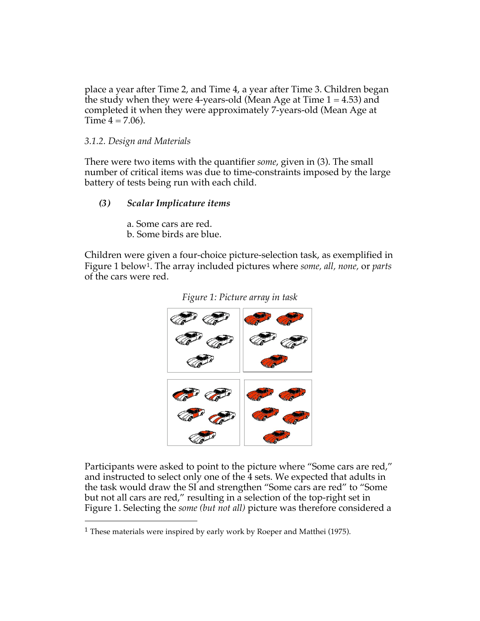place a year after Time 2, and Time 4, a year after Time 3. Children began the study when they were 4-years-old (Mean Age at Time  $1 = 4.53$ ) and completed it when they were approximately 7-years-old (Mean Age at Time  $4 = 7.06$ ).

#### *3.1.2. Design and Materials*

There were two items with the quantifier *some*, given in (3). The small number of critical items was due to time-constraints imposed by the large battery of tests being run with each child.

### *(3) Scalar Implicature items*

a. Some cars are red. b. Some birds are blue.

Children were given a four-choice picture-selection task, as exemplified in Figure 1 below<sup>1</sup>. The array included pictures where *some, all, none,* or *parts* of the cars were red.



*Figure 1: Picture array in task*

Participants were asked to point to the picture where "Some cars are red," and instructed to select only one of the 4 sets. We expected that adults in the task would draw the SI and strengthen "Some cars are red" to "Some but not all cars are red," resulting in a selection of the top-right set in Figure 1. Selecting the *some (but not all)* picture was therefore considered a

 

<sup>&</sup>lt;sup>1</sup> These materials were inspired by early work by Roeper and Matthei (1975).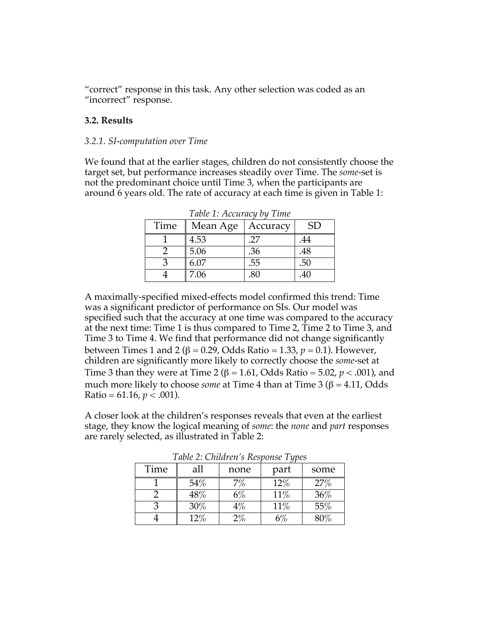"correct" response in this task. Any other selection was coded as an "incorrect" response.

#### **3.2. Results**

#### *3.2.1. SI-computation over Time*

We found that at the earlier stages, children do not consistently choose the target set, but performance increases steadily over Time. The *some*-set is not the predominant choice until Time 3, when the participants are around 6 years old. The rate of accuracy at each time is given in Table 1:

| $1$ we be $1$ . The state we we would be a state |                   |          |           |  |  |
|--------------------------------------------------|-------------------|----------|-----------|--|--|
| Time                                             | Mean Age          | Accuracy | <b>SD</b> |  |  |
|                                                  | 4.53              | .27      | 44        |  |  |
|                                                  | 5.06              | .36      | .48       |  |  |
|                                                  | $6.\overline{07}$ | .55      | .50       |  |  |
|                                                  | 7.06              | 80       | 40        |  |  |

*Table 1: Accuracy by Time*

A maximally-specified mixed-effects model confirmed this trend: Time was a significant predictor of performance on SIs. Our model was specified such that the accuracy at one time was compared to the accuracy at the next time: Time 1 is thus compared to Time 2, Time 2 to Time 3, and Time 3 to Time 4. We find that performance did not change significantly between Times 1 and 2 (β = 0.29, Odds Ratio = 1.33,  $p = 0.1$ ). However, children are significantly more likely to correctly choose the *some*-set at Time 3 than they were at Time 2 ( $\beta$  = 1.61, Odds Ratio = 5.02,  $p < .001$ ), and much more likely to choose *some* at Time 4 than at Time 3 (β = 4.11, Odds Ratio = 61.16,  $p < .001$ ).

A closer look at the children's responses reveals that even at the earliest stage, they know the logical meaning of *some*: the *none* and *part* responses are rarely selected, as illustrated in Table 2:

| Time | all               | none  | part | some   |  |  |
|------|-------------------|-------|------|--------|--|--|
|      | $54\%$            |       | 12%  | 27%    |  |  |
|      | $\overline{48\%}$ | 6%    | 11%  | 36%    |  |  |
|      | $30\%$            | $4\%$ | 11%  | 55%    |  |  |
|      | $12\%$            | $2\%$ |      | $80\%$ |  |  |

*Table 2: Children's Response Types*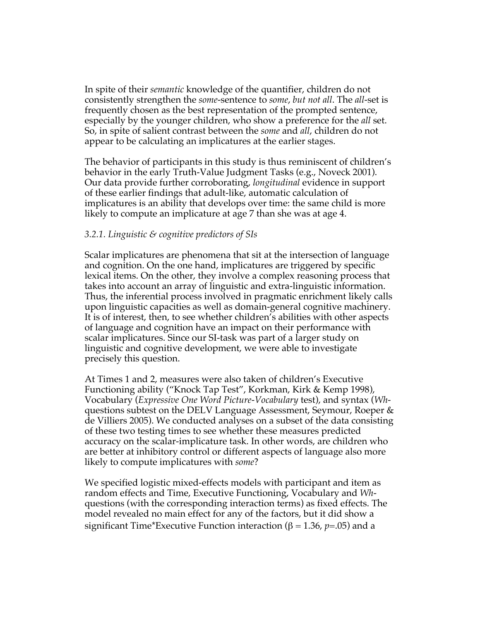In spite of their *semantic* knowledge of the quantifier, children do not consistently strengthen the *some*-sentence to *some*, *but not all*. The *all*-set is frequently chosen as the best representation of the prompted sentence, especially by the younger children, who show a preference for the *all* set. So, in spite of salient contrast between the *some* and *all*, children do not appear to be calculating an implicatures at the earlier stages.

The behavior of participants in this study is thus reminiscent of children's behavior in the early Truth-Value Judgment Tasks (e.g., Noveck 2001). Our data provide further corroborating, *longitudinal* evidence in support of these earlier findings that adult-like, automatic calculation of implicatures is an ability that develops over time: the same child is more likely to compute an implicature at age 7 than she was at age 4.

#### *3.2.1. Linguistic & cognitive predictors of SIs*

Scalar implicatures are phenomena that sit at the intersection of language and cognition. On the one hand, implicatures are triggered by specific lexical items. On the other, they involve a complex reasoning process that takes into account an array of linguistic and extra-linguistic information. Thus, the inferential process involved in pragmatic enrichment likely calls upon linguistic capacities as well as domain-general cognitive machinery. It is of interest, then, to see whether children's abilities with other aspects of language and cognition have an impact on their performance with scalar implicatures. Since our SI-task was part of a larger study on linguistic and cognitive development, we were able to investigate precisely this question.

At Times 1 and 2, measures were also taken of children's Executive Functioning ability ("Knock Tap Test", Korkman, Kirk & Kemp 1998), Vocabulary (*Expressive One Word Picture-Vocabulary* test), and syntax (*Wh*questions subtest on the DELV Language Assessment, Seymour, Roeper & de Villiers 2005). We conducted analyses on a subset of the data consisting of these two testing times to see whether these measures predicted accuracy on the scalar-implicature task. In other words, are children who are better at inhibitory control or different aspects of language also more likely to compute implicatures with *some*?

We specified logistic mixed-effects models with participant and item as random effects and Time, Executive Functioning, Vocabulary and *Wh*questions (with the corresponding interaction terms) as fixed effects. The model revealed no main effect for any of the factors, but it did show a significant Time\*Executive Function interaction ( $β = 1.36$ ,  $p = .05$ ) and a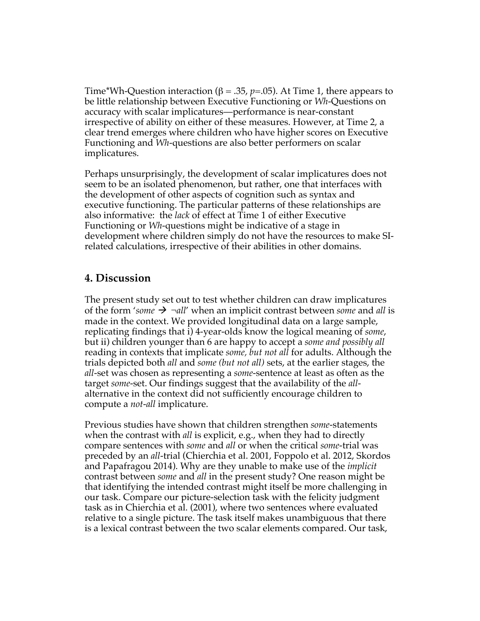Time\*Wh-Question interaction ( $\beta$  = .35, *p*=.05). At Time 1, there appears to be little relationship between Executive Functioning or *Wh*-Questions on accuracy with scalar implicatures—performance is near-constant irrespective of ability on either of these measures. However, at Time 2, a clear trend emerges where children who have higher scores on Executive Functioning and *Wh*-questions are also better performers on scalar implicatures.

Perhaps unsurprisingly, the development of scalar implicatures does not seem to be an isolated phenomenon, but rather, one that interfaces with the development of other aspects of cognition such as syntax and executive functioning. The particular patterns of these relationships are also informative: the *lack* of effect at Time 1 of either Executive Functioning or *Wh*-questions might be indicative of a stage in development where children simply do not have the resources to make SIrelated calculations, irrespective of their abilities in other domains.

### **4. Discussion**

The present study set out to test whether children can draw implicatures of the form 'some  $\rightarrow$   $\neg$ all' when an implicit contrast between *some* and *all* is made in the context. We provided longitudinal data on a large sample, replicating findings that i) 4-year-olds know the logical meaning of *some*, but ii) children younger than 6 are happy to accept a *some and possibly all*  reading in contexts that implicate *some, but not all* for adults. Although the trials depicted both *all* and *some (but not all)* sets, at the earlier stages, the *all*-set was chosen as representing a *some-*sentence at least as often as the target *some*-set. Our findings suggest that the availability of the *all*alternative in the context did not sufficiently encourage children to compute a *not-all* implicature.

Previous studies have shown that children strengthen *some*-statements when the contrast with *all* is explicit, e.g., when they had to directly compare sentences with *some* and *all* or when the critical *some*-trial was preceded by an *all*-trial (Chierchia et al. 2001, Foppolo et al. 2012, Skordos and Papafragou 2014). Why are they unable to make use of the *implicit*  contrast between *some* and *all* in the present study? One reason might be that identifying the intended contrast might itself be more challenging in our task. Compare our picture-selection task with the felicity judgment task as in Chierchia et al. (2001), where two sentences where evaluated relative to a single picture. The task itself makes unambiguous that there is a lexical contrast between the two scalar elements compared. Our task,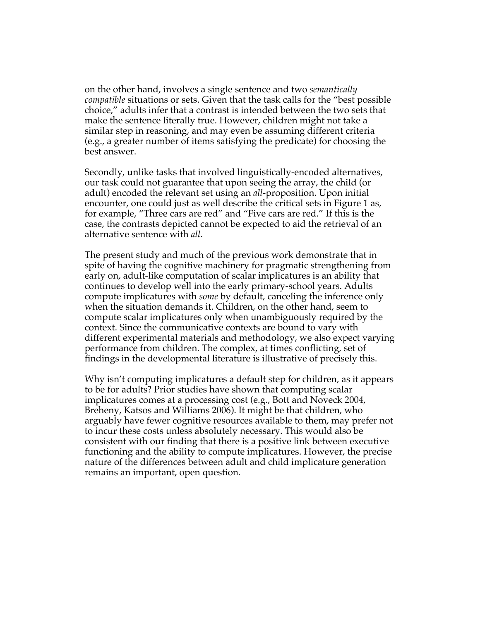on the other hand, involves a single sentence and two *semantically compatible* situations or sets. Given that the task calls for the "best possible choice," adults infer that a contrast is intended between the two sets that make the sentence literally true. However, children might not take a similar step in reasoning, and may even be assuming different criteria (e.g., a greater number of items satisfying the predicate) for choosing the best answer.

Secondly, unlike tasks that involved linguistically-encoded alternatives, our task could not guarantee that upon seeing the array, the child (or adult) encoded the relevant set using an *all*-proposition. Upon initial encounter, one could just as well describe the critical sets in Figure 1 as, for example, "Three cars are red" and "Five cars are red." If this is the case, the contrasts depicted cannot be expected to aid the retrieval of an alternative sentence with *all*.

The present study and much of the previous work demonstrate that in spite of having the cognitive machinery for pragmatic strengthening from early on, adult-like computation of scalar implicatures is an ability that continues to develop well into the early primary-school years. Adults compute implicatures with *some* by default, canceling the inference only when the situation demands it. Children, on the other hand, seem to compute scalar implicatures only when unambiguously required by the context. Since the communicative contexts are bound to vary with different experimental materials and methodology, we also expect varying performance from children. The complex, at times conflicting, set of findings in the developmental literature is illustrative of precisely this.

Why isn't computing implicatures a default step for children, as it appears to be for adults? Prior studies have shown that computing scalar implicatures comes at a processing cost (e.g., Bott and Noveck 2004, Breheny, Katsos and Williams 2006). It might be that children, who arguably have fewer cognitive resources available to them, may prefer not to incur these costs unless absolutely necessary. This would also be consistent with our finding that there is a positive link between executive functioning and the ability to compute implicatures. However, the precise nature of the differences between adult and child implicature generation remains an important, open question.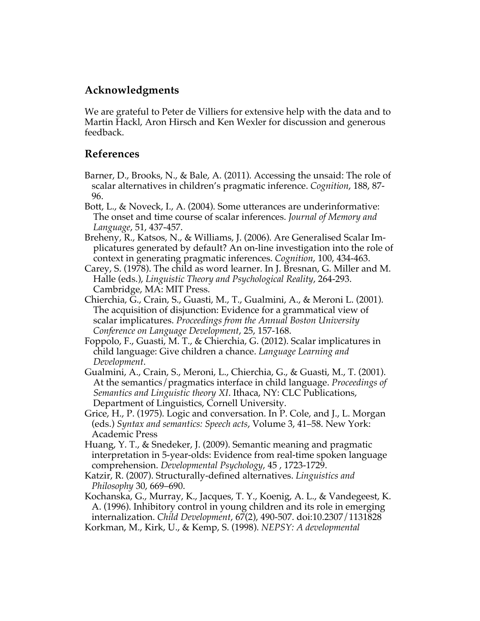## **Acknowledgments**

We are grateful to Peter de Villiers for extensive help with the data and to Martin Hackl, Aron Hirsch and Ken Wexler for discussion and generous feedback.

### **References**

- Barner, D., Brooks, N., & Bale, A. (2011). Accessing the unsaid: The role of scalar alternatives in children's pragmatic inference. *Cognition*, 188, 87- 96.
- Bott, L., & Noveck, I., A. (2004). Some utterances are underinformative: The onset and time course of scalar inferences. *Journal of Memory and Language*, 51, 437-457.
- Breheny, R., Katsos, N., & Williams, J. (2006). Are Generalised Scalar Implicatures generated by default? An on-line investigation into the role of context in generating pragmatic inferences. *Cognition*, 100, 434-463.
- Carey, S. (1978). The child as word learner. In J. Bresnan, G. Miller and M. Halle (eds.), *Linguistic Theory and Psychological Reality*, 264-293. Cambridge, MA: MIT Press.
- Chierchia, G., Crain, S., Guasti, M., T., Gualmini, A., & Meroni L. (2001). The acquisition of disjunction: Evidence for a grammatical view of scalar implicatures. *Proceedings from the Annual Boston University Conference on Language Development*, 25, 157-168.
- Foppolo, F., Guasti, M. T., & Chierchia, G. (2012). Scalar implicatures in child language: Give children a chance. *Language Learning and Development*.
- Gualmini, A., Crain, S., Meroni, L., Chierchia, G., & Guasti, M., T. (2001). At the semantics/pragmatics interface in child language. *Proceedings of Semantics and Linguistic theory XI*. Ithaca, NY: CLC Publications, Department of Linguistics, Cornell University.
- Grice, H., P. (1975). Logic and conversation. In P. Cole, and J., L. Morgan (eds.) *Syntax and semantics: Speech acts*, Volume 3, 41–58. New York: Academic Press
- Huang, Y. T., & Snedeker, J. (2009). Semantic meaning and pragmatic interpretation in 5-year-olds: Evidence from real-time spoken language comprehension. *Developmental Psychology*, 45 , 1723-1729.
- Katzir, R. (2007). Structurally-defined alternatives. *Linguistics and Philosophy* 30, 669–690.

Kochanska, G., Murray, K., Jacques, T. Y., Koenig, A. L., & Vandegeest, K. A. (1996). Inhibitory control in young children and its role in emerging internalization. *Child Development*, 67(2), 490-507. doi:10.2307/1131828 Korkman, M., Kirk, U., & Kemp, S. (1998). *NEPSY: A developmental*